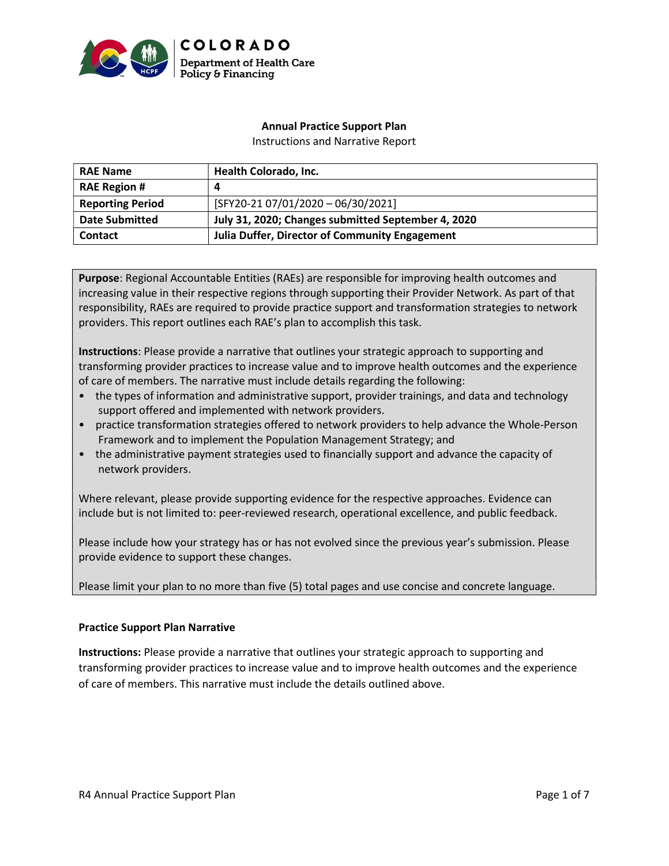

## Annual Practice Support Plan

Instructions and Narrative Report

| <b>RAE Name</b>         | Health Colorado, Inc.                                 |  |
|-------------------------|-------------------------------------------------------|--|
| <b>RAE Region #</b>     | 4                                                     |  |
| <b>Reporting Period</b> | $[SFY20-21 07/01/2020 - 06/30/2021]$                  |  |
| <b>Date Submitted</b>   | July 31, 2020; Changes submitted September 4, 2020    |  |
| <b>Contact</b>          | <b>Julia Duffer, Director of Community Engagement</b> |  |

Purpose: Regional Accountable Entities (RAEs) are responsible for improving health outcomes and increasing value in their respective regions through supporting their Provider Network. As part of that responsibility, RAEs are required to provide practice support and transformation strategies to network providers. This report outlines each RAE's plan to accomplish this task.

Instructions: Please provide a narrative that outlines your strategic approach to supporting and transforming provider practices to increase value and to improve health outcomes and the experience of care of members. The narrative must include details regarding the following:

- the types of information and administrative support, provider trainings, and data and technology support offered and implemented with network providers.
- practice transformation strategies offered to network providers to help advance the Whole-Person Framework and to implement the Population Management Strategy; and
- the administrative payment strategies used to financially support and advance the capacity of network providers.

Where relevant, please provide supporting evidence for the respective approaches. Evidence can include but is not limited to: peer-reviewed research, operational excellence, and public feedback.

Please include how your strategy has or has not evolved since the previous year's submission. Please provide evidence to support these changes.

Please limit your plan to no more than five (5) total pages and use concise and concrete language.

### Practice Support Plan Narrative

Instructions: Please provide a narrative that outlines your strategic approach to supporting and transforming provider practices to increase value and to improve health outcomes and the experience of care of members. This narrative must include the details outlined above.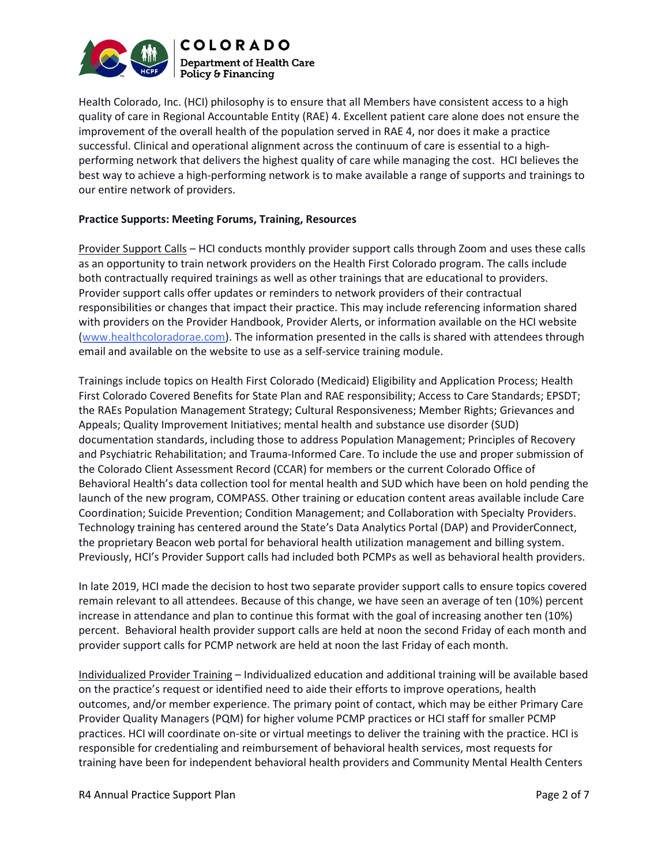

Health Colorado, Inc. (HCI) philosophy is to ensure that all Members have consistent access to a high quality of care in Regional Accountable Entity (RAE) 4. Excellent patient care alone does not ensure the improvement of the overall health of the population served in RAE 4, nor does it make a practice successful. Clinical and operational alignment across the continuum of care is essential to a highperforming network that delivers the highest quality of care while managing the cost. HCI believes the best way to achieve a high-performing network is to make available a range of supports and trainings to our entire network of providers.

### Practice Supports: Meeting Forums, Training, Resources

Provider Support Calls – HCI conducts monthly provider support calls through Zoom and uses these calls as an opportunity to train network providers on the Health First Colorado program. The calls include both contractually required trainings as well as other trainings that are educational to providers. Provider support calls offer updates or reminders to network providers of their contractual responsibilities or changes that impact their practice. This may include referencing information shared with providers on the Provider Handbook, Provider Alerts, or information available on the HCI website (www.healthcoloradorae.com). The information presented in the calls is shared with attendees through email and available on the website to use as a self-service training module.

Trainings include topics on Health First Colorado (Medicaid) Eligibility and Application Process; Health First Colorado Covered Benefits for State Plan and RAE responsibility; Access to Care Standards; EPSDT; the RAEs Population Management Strategy; Cultural Responsiveness; Member Rights; Grievances and Appeals; Quality Improvement Initiatives; mental health and substance use disorder (SUD) documentation standards, including those to address Population Management; Principles of Recovery and Psychiatric Rehabilitation; and Trauma-Informed Care. To include the use and proper submission of the Colorado Client Assessment Record (CCAR) for members or the current Colorado Office of Behavioral Health's data collection tool for mental health and SUD which have been on hold pending the launch of the new program, COMPASS. Other training or education content areas available include Care Coordination; Suicide Prevention; Condition Management; and Collaboration with Specialty Providers. Technology training has centered around the State's Data Analytics Portal (DAP) and ProviderConnect, the proprietary Beacon web portal for behavioral health utilization management and billing system. Previously, HCI's Provider Support calls had included both PCMPs as well as behavioral health providers.

In late 2019, HCI made the decision to host two separate provider support calls to ensure topics covered remain relevant to all attendees. Because of this change, we have seen an average of ten (10%) percent increase in attendance and plan to continue this format with the goal of increasing another ten (10%) percent. Behavioral health provider support calls are held at noon the second Friday of each month and provider support calls for PCMP network are held at noon the last Friday of each month.

Individualized Provider Training – Individualized education and additional training will be available based on the practice's request or identified need to aide their efforts to improve operations, health outcomes, and/or member experience. The primary point of contact, which may be either Primary Care Provider Quality Managers (PQM) for higher volume PCMP practices or HCI staff for smaller PCMP practices. HCI will coordinate on-site or virtual meetings to deliver the training with the practice. HCI is responsible for credentialing and reimbursement of behavioral health services, most requests for training have been for independent behavioral health providers and Community Mental Health Centers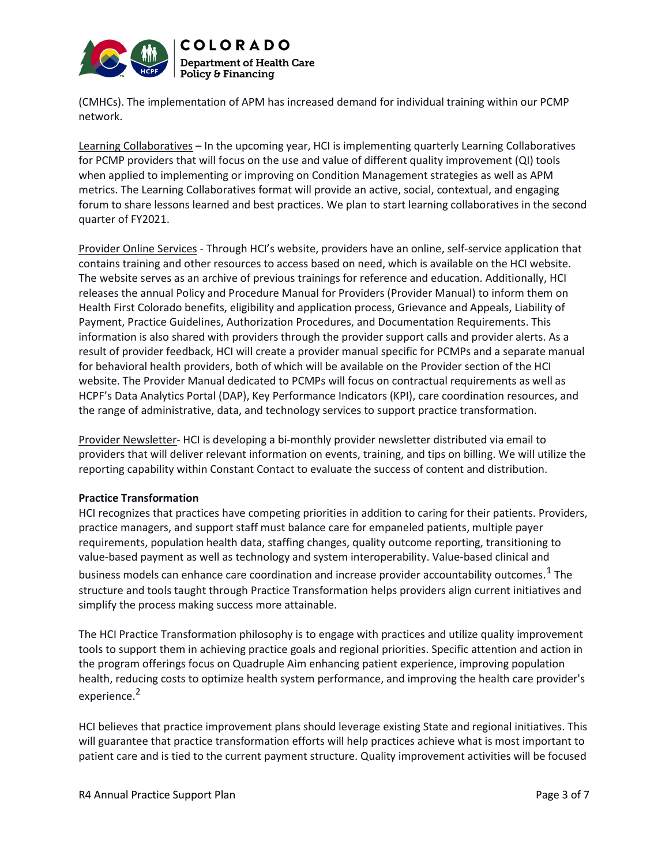

(CMHCs). The implementation of APM has increased demand for individual training within our PCMP network.

Learning Collaboratives – In the upcoming year, HCI is implementing quarterly Learning Collaboratives for PCMP providers that will focus on the use and value of different quality improvement (QI) tools when applied to implementing or improving on Condition Management strategies as well as APM metrics. The Learning Collaboratives format will provide an active, social, contextual, and engaging forum to share lessons learned and best practices. We plan to start learning collaboratives in the second quarter of FY2021.

Provider Online Services - Through HCI's website, providers have an online, self-service application that contains training and other resources to access based on need, which is available on the HCI website. The website serves as an archive of previous trainings for reference and education. Additionally, HCI releases the annual Policy and Procedure Manual for Providers (Provider Manual) to inform them on Health First Colorado benefits, eligibility and application process, Grievance and Appeals, Liability of Payment, Practice Guidelines, Authorization Procedures, and Documentation Requirements. This information is also shared with providers through the provider support calls and provider alerts. As a result of provider feedback, HCI will create a provider manual specific for PCMPs and a separate manual for behavioral health providers, both of which will be available on the Provider section of the HCI website. The Provider Manual dedicated to PCMPs will focus on contractual requirements as well as HCPF's Data Analytics Portal (DAP), Key Performance Indicators (KPI), care coordination resources, and the range of administrative, data, and technology services to support practice transformation.

Provider Newsletter- HCI is developing a bi-monthly provider newsletter distributed via email to providers that will deliver relevant information on events, training, and tips on billing. We will utilize the reporting capability within Constant Contact to evaluate the success of content and distribution.

### Practice Transformation

HCI recognizes that practices have competing priorities in addition to caring for their patients. Providers, practice managers, and support staff must balance care for empaneled patients, multiple payer requirements, population health data, staffing changes, quality outcome reporting, transitioning to value-based payment as well as technology and system interoperability. Value-based clinical and business models can enhance care coordination and increase provider accountability outcomes.  $^{1}$  The structure and tools taught through Practice Transformation helps providers align current initiatives and simplify the process making success more attainable.

The HCI Practice Transformation philosophy is to engage with practices and utilize quality improvement tools to support them in achieving practice goals and regional priorities. Specific attention and action in the program offerings focus on Quadruple Aim enhancing patient experience, improving population health, reducing costs to optimize health system performance, and improving the health care provider's experience.<sup>2</sup>

HCI believes that practice improvement plans should leverage existing State and regional initiatives. This will guarantee that practice transformation efforts will help practices achieve what is most important to patient care and is tied to the current payment structure. Quality improvement activities will be focused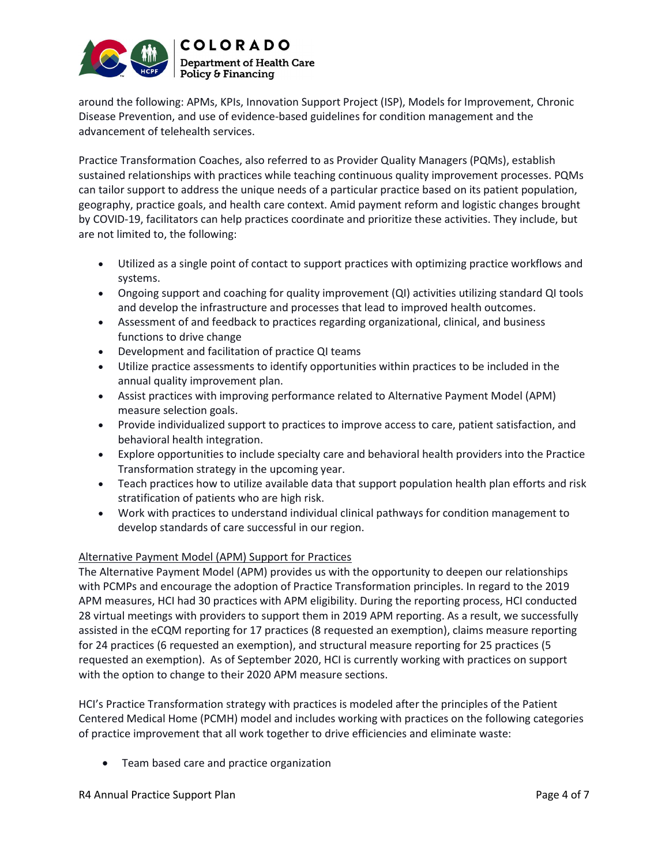

around the following: APMs, KPIs, Innovation Support Project (ISP), Models for Improvement, Chronic Disease Prevention, and use of evidence-based guidelines for condition management and the advancement of telehealth services.

Practice Transformation Coaches, also referred to as Provider Quality Managers (PQMs), establish sustained relationships with practices while teaching continuous quality improvement processes. PQMs can tailor support to address the unique needs of a particular practice based on its patient population, geography, practice goals, and health care context. Amid payment reform and logistic changes brought by COVID-19, facilitators can help practices coordinate and prioritize these activities. They include, but are not limited to, the following:

- Utilized as a single point of contact to support practices with optimizing practice workflows and systems.
- Ongoing support and coaching for quality improvement (QI) activities utilizing standard QI tools and develop the infrastructure and processes that lead to improved health outcomes.
- Assessment of and feedback to practices regarding organizational, clinical, and business functions to drive change
- Development and facilitation of practice QI teams
- Utilize practice assessments to identify opportunities within practices to be included in the annual quality improvement plan.
- Assist practices with improving performance related to Alternative Payment Model (APM) measure selection goals.
- Provide individualized support to practices to improve access to care, patient satisfaction, and behavioral health integration.
- Explore opportunities to include specialty care and behavioral health providers into the Practice Transformation strategy in the upcoming year.
- Teach practices how to utilize available data that support population health plan efforts and risk stratification of patients who are high risk.
- Work with practices to understand individual clinical pathways for condition management to develop standards of care successful in our region.

# Alternative Payment Model (APM) Support for Practices

The Alternative Payment Model (APM) provides us with the opportunity to deepen our relationships with PCMPs and encourage the adoption of Practice Transformation principles. In regard to the 2019 APM measures, HCI had 30 practices with APM eligibility. During the reporting process, HCI conducted 28 virtual meetings with providers to support them in 2019 APM reporting. As a result, we successfully assisted in the eCQM reporting for 17 practices (8 requested an exemption), claims measure reporting for 24 practices (6 requested an exemption), and structural measure reporting for 25 practices (5 requested an exemption). As of September 2020, HCI is currently working with practices on support with the option to change to their 2020 APM measure sections.

HCI's Practice Transformation strategy with practices is modeled after the principles of the Patient Centered Medical Home (PCMH) model and includes working with practices on the following categories of practice improvement that all work together to drive efficiencies and eliminate waste:

Team based care and practice organization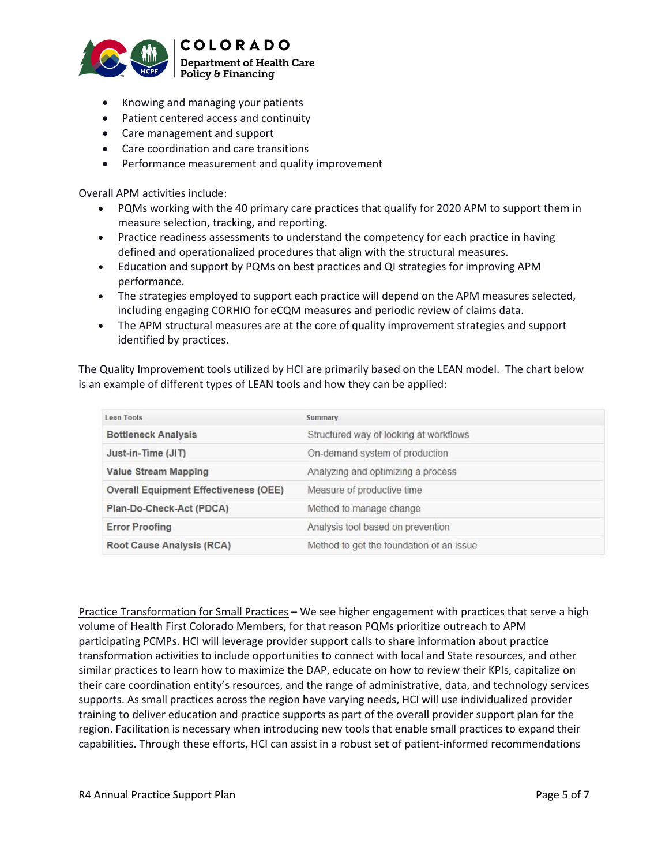

- Knowing and managing your patients
- Patient centered access and continuity
- Care management and support
- Care coordination and care transitions
- Performance measurement and quality improvement

Overall APM activities include:

- PQMs working with the 40 primary care practices that qualify for 2020 APM to support them in measure selection, tracking, and reporting.
- Practice readiness assessments to understand the competency for each practice in having defined and operationalized procedures that align with the structural measures.
- Education and support by PQMs on best practices and QI strategies for improving APM performance.
- The strategies employed to support each practice will depend on the APM measures selected, including engaging CORHIO for eCQM measures and periodic review of claims data.
- The APM structural measures are at the core of quality improvement strategies and support identified by practices.

The Quality Improvement tools utilized by HCI are primarily based on the LEAN model. The chart below is an example of different types of LEAN tools and how they can be applied:

| Lean Tools                                   | Summary                                  |
|----------------------------------------------|------------------------------------------|
| <b>Bottleneck Analysis</b>                   | Structured way of looking at workflows   |
| Just-in-Time (JIT)                           | On-demand system of production           |
| <b>Value Stream Mapping</b>                  | Analyzing and optimizing a process       |
| <b>Overall Equipment Effectiveness (OEE)</b> | Measure of productive time               |
| Plan-Do-Check-Act (PDCA)                     | Method to manage change                  |
| <b>Error Proofing</b>                        | Analysis tool based on prevention        |
| <b>Root Cause Analysis (RCA)</b>             | Method to get the foundation of an issue |

Practice Transformation for Small Practices – We see higher engagement with practices that serve a high volume of Health First Colorado Members, for that reason PQMs prioritize outreach to APM participating PCMPs. HCI will leverage provider support calls to share information about practice transformation activities to include opportunities to connect with local and State resources, and other similar practices to learn how to maximize the DAP, educate on how to review their KPIs, capitalize on their care coordination entity's resources, and the range of administrative, data, and technology services supports. As small practices across the region have varying needs, HCI will use individualized provider training to deliver education and practice supports as part of the overall provider support plan for the region. Facilitation is necessary when introducing new tools that enable small practices to expand their capabilities. Through these efforts, HCI can assist in a robust set of patient-informed recommendations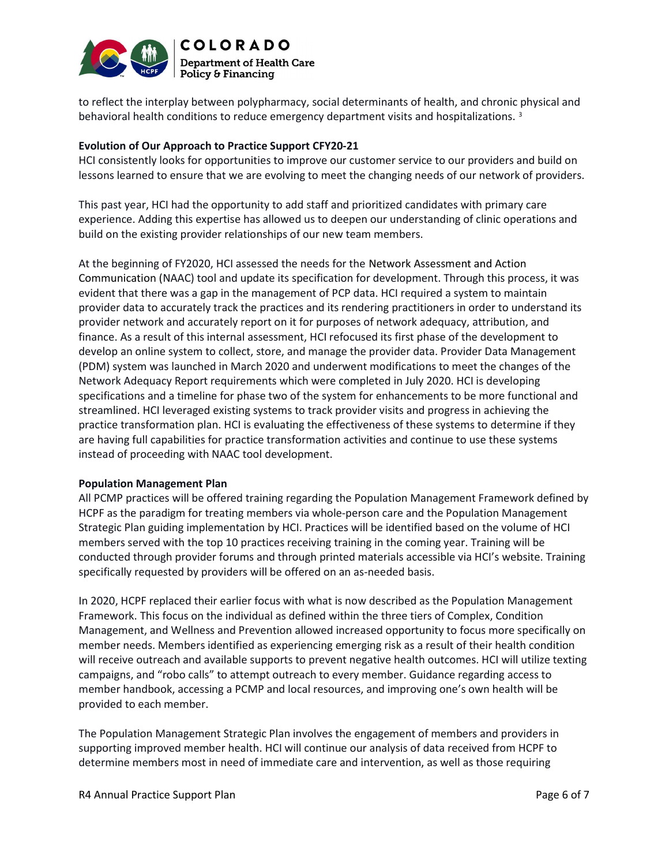

to reflect the interplay between polypharmacy, social determinants of health, and chronic physical and behavioral health conditions to reduce emergency department visits and hospitalizations.<sup>3</sup>

### Evolution of Our Approach to Practice Support CFY20-21

HCI consistently looks for opportunities to improve our customer service to our providers and build on lessons learned to ensure that we are evolving to meet the changing needs of our network of providers.

This past year, HCI had the opportunity to add staff and prioritized candidates with primary care experience. Adding this expertise has allowed us to deepen our understanding of clinic operations and build on the existing provider relationships of our new team members.

At the beginning of FY2020, HCI assessed the needs for the Network Assessment and Action Communication (NAAC) tool and update its specification for development. Through this process, it was evident that there was a gap in the management of PCP data. HCI required a system to maintain provider data to accurately track the practices and its rendering practitioners in order to understand its provider network and accurately report on it for purposes of network adequacy, attribution, and finance. As a result of this internal assessment, HCI refocused its first phase of the development to develop an online system to collect, store, and manage the provider data. Provider Data Management (PDM) system was launched in March 2020 and underwent modifications to meet the changes of the Network Adequacy Report requirements which were completed in July 2020. HCI is developing specifications and a timeline for phase two of the system for enhancements to be more functional and streamlined. HCI leveraged existing systems to track provider visits and progress in achieving the practice transformation plan. HCI is evaluating the effectiveness of these systems to determine if they are having full capabilities for practice transformation activities and continue to use these systems instead of proceeding with NAAC tool development.

### Population Management Plan

All PCMP practices will be offered training regarding the Population Management Framework defined by HCPF as the paradigm for treating members via whole-person care and the Population Management Strategic Plan guiding implementation by HCI. Practices will be identified based on the volume of HCI members served with the top 10 practices receiving training in the coming year. Training will be conducted through provider forums and through printed materials accessible via HCI's website. Training specifically requested by providers will be offered on an as-needed basis.

In 2020, HCPF replaced their earlier focus with what is now described as the Population Management Framework. This focus on the individual as defined within the three tiers of Complex, Condition Management, and Wellness and Prevention allowed increased opportunity to focus more specifically on member needs. Members identified as experiencing emerging risk as a result of their health condition will receive outreach and available supports to prevent negative health outcomes. HCI will utilize texting campaigns, and "robo calls" to attempt outreach to every member. Guidance regarding access to member handbook, accessing a PCMP and local resources, and improving one's own health will be provided to each member.

The Population Management Strategic Plan involves the engagement of members and providers in supporting improved member health. HCI will continue our analysis of data received from HCPF to determine members most in need of immediate care and intervention, as well as those requiring